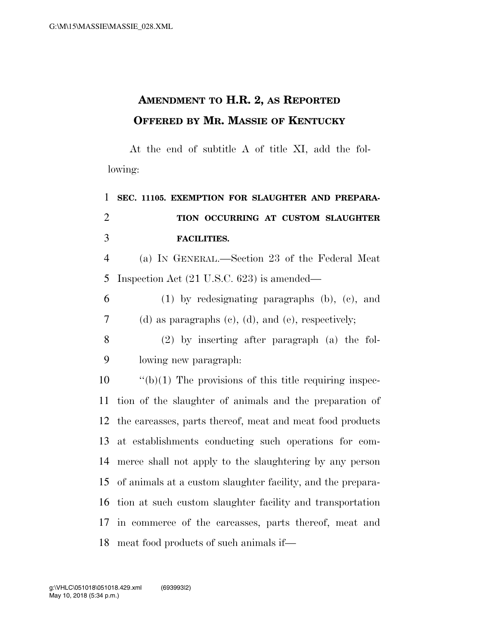## **AMENDMENT TO H.R. 2, AS REPORTED OFFERED BY MR. MASSIE OF KENTUCKY**

At the end of subtitle A of title XI, add the following:

## **SEC. 11105. EXEMPTION FOR SLAUGHTER AND PREPARA- TION OCCURRING AT CUSTOM SLAUGHTER FACILITIES.**

 (a) IN GENERAL.—Section 23 of the Federal Meat Inspection Act (21 U.S.C. 623) is amended—

 (1) by redesignating paragraphs (b), (c), and (d) as paragraphs (c), (d), and (e), respectively;

 (2) by inserting after paragraph (a) the fol-lowing new paragraph:

 ''(b)(1) The provisions of this title requiring inspec- tion of the slaughter of animals and the preparation of the carcasses, parts thereof, meat and meat food products at establishments conducting such operations for com- merce shall not apply to the slaughtering by any person of animals at a custom slaughter facility, and the prepara- tion at such custom slaughter facility and transportation in commerce of the carcasses, parts thereof, meat and meat food products of such animals if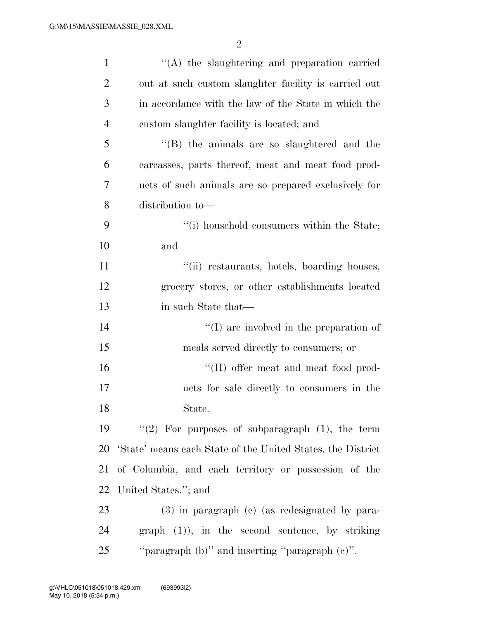| $\mathbf{1}$   | "(A) the slaughtering and preparation carried               |
|----------------|-------------------------------------------------------------|
| $\overline{2}$ | out at such custom slaughter facility is carried out        |
| 3              | in accordance with the law of the State in which the        |
| $\overline{4}$ | custom slaughter facility is located; and                   |
| 5              | $\lq\lq$ (B) the animals are so slaughtered and the         |
| 6              | carcasses, parts thereof, meat and meat food prod-          |
| 7              | ucts of such animals are so prepared exclusively for        |
| 8              | distribution to-                                            |
| 9              | "(i) household consumers within the State;                  |
| 10             | and                                                         |
| 11             | "(ii) restaurants, hotels, boarding houses,                 |
| 12             | grocery stores, or other establishments located             |
| 13             | in such State that—                                         |
| 14             | $\lq\lq$ are involved in the preparation of                 |
| 15             | meals served directly to consumers; or                      |
| 16             | "(II) offer meat and meat food prod-                        |
| 17             | ucts for sale directly to consumers in the                  |
| 18             | State.                                                      |
| 19             | "(2) For purposes of subparagraph $(1)$ , the term          |
| 20             | 'State' means each State of the United States, the District |
| 21             | of Columbia, and each territory or possession of the        |
| 22             | United States."; and                                        |
| 23             | (3) in paragraph (c) (as redesignated by para-              |
| 24             | $graph (1)$ , in the second sentence, by striking           |
| 25             | "paragraph (b)" and inserting "paragraph (c)".              |